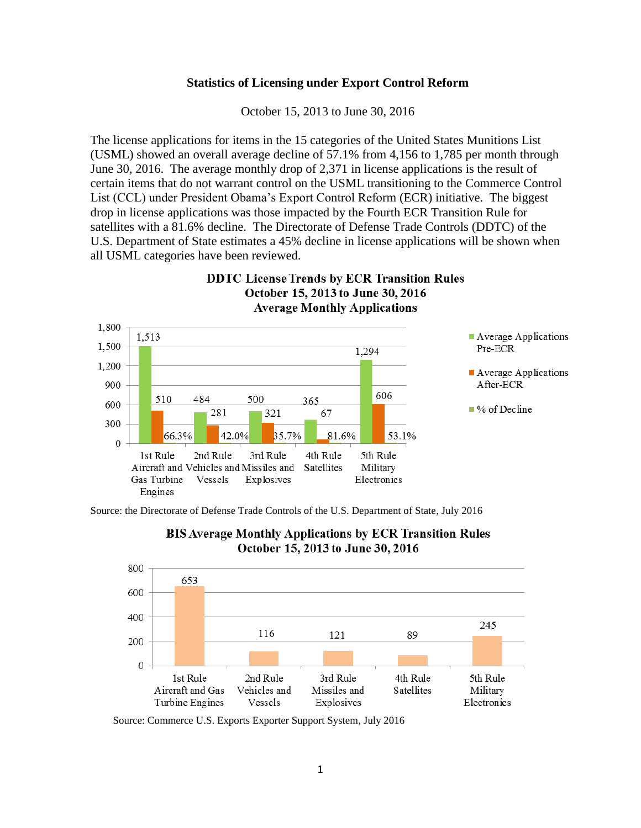## **Statistics of Licensing under Export Control Reform**

October 15, 2013 to June 30, 2016

The license applications for items in the 15 categories of the United States Munitions List (USML) showed an overall average decline of 57.1% from 4,156 to 1,785 per month through June 30, 2016. The average monthly drop of 2,371 in license applications is the result of certain items that do not warrant control on the USML transitioning to the Commerce Control List (CCL) under President Obama's Export Control Reform (ECR) initiative. The biggest drop in license applications was those impacted by the Fourth ECR Transition Rule for satellites with a 81.6% decline. The Directorate of Defense Trade Controls (DDTC) of the U.S. Department of State estimates a 45% decline in license applications will be shown when all USML categories have been reviewed.

**DDTC License Trends by ECR Transition Rules** 



Source: the Directorate of Defense Trade Controls of the U.S. Department of State, July 2016





Source: Commerce U.S. Exports Exporter Support System, July 2016